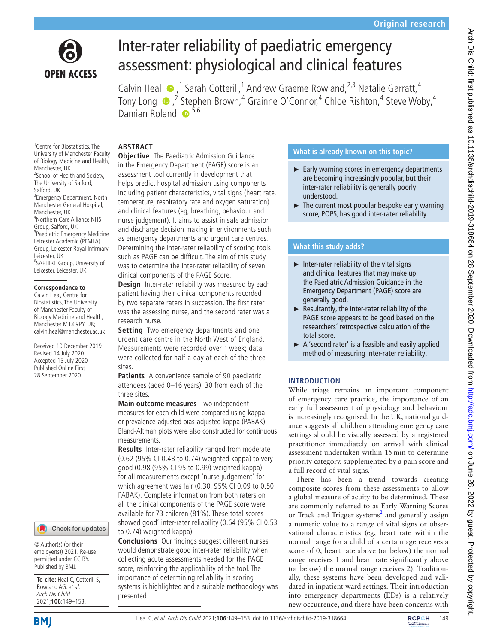

# Inter-rater reliability of paediatric emergency assessment: physiological and clinical features

CalvinHeal  $\bullet$ ,<sup>1</sup> Sarah Cotterill,<sup>1</sup> Andrew Graeme Rowland,<sup>2,3</sup> Natalie Garratt,<sup>4</sup> Tony Long  $\bigcirc$ , 2 Stephen Brown, 4 Grainne O'Connor, 4 Chloe Rishton, 4 Steve Woby, 4 Damian Roland  $\bullet$ <sup>5,6</sup>

# **ABSTRACT**

<sup>1</sup> Centre for Biostatistics, The University of Manchester Faculty of Biology Medicine and Health, Manchester, UK <sup>2</sup> School of Health and Society, The University of Salford, Salford, UK <sup>3</sup> Emergency Department, North Manchester General Hospital, Manchester, UK 4 Northern Care Alliance NHS Group, Salford, UK 5 Paediatric Emergency Medicine Leicester Academic (PEMLA) Group, Leicester Royal Infirmary, Leicester, UK <sup>6</sup>SAPHIRE Group, University of Leicester, Leicester, UK

## **Correspondence to**

Calvin Heal, Centre for Biostatistics, The University of Manchester Faculty of Biology Medicine and Health, Manchester M13 9PY, UK; calvin.heal@manchester.ac.uk

Received 10 December 2019 Revised 14 July 2020 Accepted 15 July 2020 Published Online First 28 September 2020

# Check for updates

© Author(s) (or their employer(s)) 2021. Re-use permitted under CC BY. Published by BMJ.

**To cite:** Heal C, Cotterill S, Rowland AG, et al. Arch Dis Child 2021;**106**:149–153.

**Objective** The Paediatric Admission Guidance in the Emergency Department (PAGE) score is an assessment tool currently in development that helps predict hospital admission using components including patient characteristics, vital signs (heart rate, temperature, respiratory rate and oxygen saturation) and clinical features (eg, breathing, behaviour and nurse judgement). It aims to assist in safe admission and discharge decision making in environments such as emergency departments and urgent care centres. Determining the inter-rater reliability of scoring tools such as PAGE can be difficult. The aim of this study was to determine the inter-rater reliability of seven clinical components of the PAGE Score.

**Design** Inter-rater reliability was measured by each patient having their clinical components recorded by two separate raters in succession. The first rater was the assessing nurse, and the second rater was a research nurse.

**Setting** Two emergency departments and one urgent care centre in the North West of England. Measurements were recorded over 1 week; data were collected for half a day at each of the three sites.

**Patients** A convenience sample of 90 paediatric attendees (aged 0–16 years), 30 from each of the three sites.

**Main outcome measures** Two independent measures for each child were compared using kappa or prevalence-adjusted bias-adjusted kappa (PABAK). Bland-Altman plots were also constructed for continuous measurements.

**Results** Inter-rater reliability ranged from moderate (0.62 (95% CI 0.48 to 0.74) weighted kappa) to very good (0.98 (95% CI 95 to 0.99) weighted kappa) for all measurements except 'nurse judgement' for which agreement was fair (0.30, 95% CI 0.09 to 0.50 PABAK). Complete information from both raters on all the clinical components of the PAGE score were available for 73 children (81%). These total scores showed good' inter-rater reliability (0.64 (95% CI 0.53 to 0.74) weighted kappa).

**Conclusions** Our findings suggest different nurses would demonstrate good inter-rater reliability when collecting acute assessments needed for the PAGE score, reinforcing the applicability of the tool. The importance of determining reliability in scoring systems is highlighted and a suitable methodology was presented.

# **What is already known on this topic?**

- ► Early warning scores in emergency departments are becoming increasingly popular, but their inter-rater reliability is generally poorly understood.
- ► The current most popular bespoke early warning score, POPS, has good inter-rater reliability.

# **What this study adds?**

- $\blacktriangleright$  Inter-rater reliability of the vital signs and clinical features that may make up the Paediatric Admission Guidance in the Emergency Department (PAGE) score are generally good.
- $\blacktriangleright$  Resultantly, the inter-rater reliability of the PAGE score appears to be good based on the researchers' retrospective calculation of the total score.
- ► A 'second rater' is a feasible and easily applied method of measuring inter-rater reliability.

# **INTRODUCTION**

While triage remains an important component of emergency care practice, the importance of an early full assessment of physiology and behaviour is increasingly recognised. In the UK, national guidance suggests all children attending emergency care settings should be visually assessed by a registered practitioner immediately on arrival with clinical assessment undertaken within 15min to determine priority category, supplemented by a pain score and a full record of vital signs.<sup>1</sup>

There has been a trend towards creating composite scores from these assessments to allow a global measure of acuity to be determined. These are commonly referred to as Early Warning Scores or Track and Trigger systems<sup>[2](#page-4-1)</sup> and generally assign a numeric value to a range of vital signs or observational characteristics (eg, heart rate within the normal range for a child of a certain age receives a score of 0, heart rate above (or below) the normal range receives 1 and heart rate significantly above (or below) the normal range receives 2). Traditionally, these systems have been developed and validated in inpatient ward settings. Their introduction into emergency departments (EDs) is a relatively new occurrence, and there have been concerns with

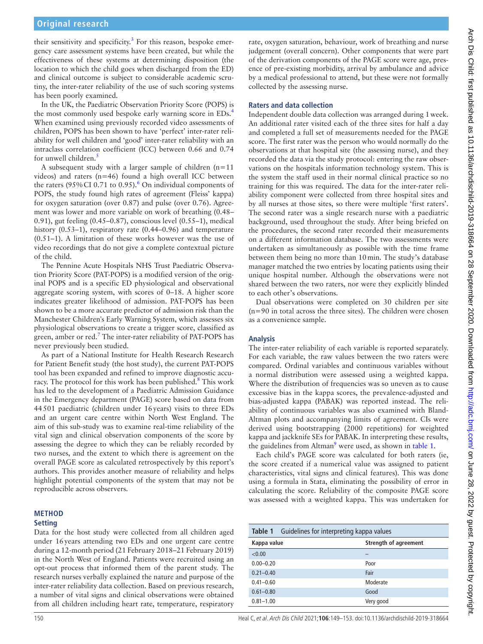# **Original research**

their sensitivity and specificity.<sup>[3](#page-4-2)</sup> For this reason, bespoke emergency care assessment systems have been created, but while the effectiveness of these systems at determining disposition (the location to which the child goes when discharged from the ED) and clinical outcome is subject to considerable academic scrutiny, the inter-rater reliability of the use of such scoring systems has been poorly examined.

In the UK, the Paediatric Observation Priority Score (POPS) is the most commonly used bespoke early warning score in EDs[.4](#page-4-3) When examined using previously recorded video assessments of children, POPS has been shown to have 'perfect' inter-rater reliability for well children and 'good' inter-rater reliability with an intraclass correlation coefficient (ICC) between 0.66 and 0.74 for unwell children.<sup>[5](#page-4-4)</sup>

A subsequent study with a larger sample of children (n=11 videos) and raters (n=46) found a high overall ICC between the raters (95% CI 0.71 to 0.95).<sup>[6](#page-4-5)</sup> On individual components of POPS, the study found high rates of agreement (Fleiss' kappa) for oxygen saturation (over 0.87) and pulse (over 0.76). Agreement was lower and more variable on work of breathing (0.48– 0.91), gut feeling (0.45–0.87), conscious level (0.55–1), medical history (0.53–1), respiratory rate (0.44–0.96) and temperature (0.51–1). A limitation of these works however was the use of video recordings that do not give a complete contextual picture of the child.

The Pennine Acute Hospitals NHS Trust Paediatric Observation Priority Score (PAT-POPS) is a modified version of the original POPS and is a specific ED physiological and observational aggregate scoring system, with scores of 0–18. A higher score indicates greater likelihood of admission. PAT-POPS has been shown to be a more accurate predictor of admission risk than the Manchester Children's Early Warning System, which assesses six physiological observations to create a trigger score, classified as green, amber or red.<sup>7</sup> The inter-rater reliability of PAT-POPS has never previously been studied.

As part of a National Institute for Health Research Research for Patient Benefit study (the host study), the current PAT-POPS tool has been expanded and refined to improve diagnostic accuracy. The protocol for this work has been published.<sup>8</sup> This work has led to the development of a Paediatric Admission Guidance in the Emergency department (PAGE) score based on data from 44501 paediatric (children under 16years) visits to three EDs and an urgent care centre within North West England. The aim of this sub-study was to examine real-time reliability of the vital sign and clinical observation components of the score by assessing the degree to which they can be reliably recorded by two nurses, and the extent to which there is agreement on the overall PAGE score as calculated retrospectively by this report's authors. This provides another measure of reliability and helps highlight potential components of the system that may not be reproducible across observers.

## **METHOD**

#### **Setting**

Data for the host study were collected from all children aged under 16years attending two EDs and one urgent care centre during a 12-month period (21 February 2018–21 February 2019) in the North West of England. Patients were recruited using an opt-out process that informed them of the parent study. The research nurses verbally explained the nature and purpose of the inter-rater reliability data collection. Based on previous research, a number of vital signs and clinical observations were obtained from all children including heart rate, temperature, respiratory

rate, oxygen saturation, behaviour, work of breathing and nurse judgement (overall concern). Other components that were part of the derivation components of the PAGE score were age, presence of pre-existing morbidity, arrival by ambulance and advice by a medical professional to attend, but these were not formally collected by the assessing nurse.

## **Raters and data collection**

Independent double data collection was arranged during 1week. An additional rater visited each of the three sites for half a day and completed a full set of measurements needed for the PAGE score. The first rater was the person who would normally do the observations at that hospital site (the assessing nurse), and they recorded the data via the study protocol: entering the raw observations on the hospitals information technology system. This is the system the staff used in their normal clinical practice so no training for this was required. The data for the inter-rater reliability component were collected from three hospital sites and by all nurses at those sites, so there were multiple 'first raters'. The second rater was a single research nurse with a paediatric background, used throughout the study. After being briefed on the procedures, the second rater recorded their measurements on a different information database. The two assessments were undertaken as simultaneously as possible with the time frame between them being no more than 10min. The study's database manager matched the two entries by locating patients using their unique hospital number. Although the observations were not shared between the two raters, nor were they explicitly blinded to each other's observations.

Dual observations were completed on 30 children per site (n=90 in total across the three sites). The children were chosen as a convenience sample.

### **Analysis**

The inter-rater reliability of each variable is reported separately. For each variable, the raw values between the two raters were compared. Ordinal variables and continuous variables without a normal distribution were assessed using a weighted kappa. Where the distribution of frequencies was so uneven as to cause excessive bias in the kappa scores, the prevalence-adjusted and bias-adjusted kappa (PABAK) was reported instead. The reliability of continuous variables was also examined with Bland-Altman plots and accompanying limits of agreement. CIs were derived using bootstrapping (2000 repetitions) for weighted kappa and jackknife SEs for PABAK. In interpreting these results, the guidelines from Altman<sup>[9](#page-4-8)</sup> were used, as shown in [table](#page-1-0) 1.

Each child's PAGE score was calculated for both raters (ie, the score created if a numerical value was assigned to patient characteristics, vital signs and clinical features). This was done using a formula in Stata, eliminating the possibility of error in calculating the score. Reliability of the composite PAGE score was assessed with a weighted kappa. This was undertaken for

<span id="page-1-0"></span>

|               | <b>Table 1</b> Guidelines for interpreting kappa values |  |  |  |
|---------------|---------------------------------------------------------|--|--|--|
| Kappa value   | <b>Strength of agreement</b>                            |  |  |  |
| < 0.00        |                                                         |  |  |  |
| $0.00 - 0.20$ | Poor                                                    |  |  |  |
| $0.21 - 0.40$ | Fair                                                    |  |  |  |
| $0.41 - 0.60$ | Moderate                                                |  |  |  |
| $0.61 - 0.80$ | Good                                                    |  |  |  |
| $0.81 - 1.00$ | Very good                                               |  |  |  |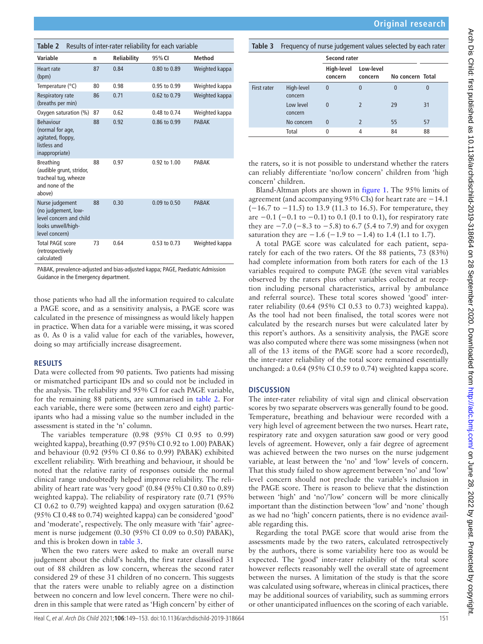| ייטוב הוא האמנוסטונואסטונואסטייני הספט בספט באונט באונט האומנטונוסטונו האונט האינטינט האונט הייטונו הווני |
|-----------------------------------------------------------------------------------------------------------|
| デコミニ                                                                                                      |
|                                                                                                           |
|                                                                                                           |
|                                                                                                           |
|                                                                                                           |
|                                                                                                           |
|                                                                                                           |
|                                                                                                           |
| + n : h  i^h^^A )^ 1つ 110の/^^^^A                                                                          |
|                                                                                                           |
|                                                                                                           |
|                                                                                                           |
|                                                                                                           |
|                                                                                                           |
|                                                                                                           |
|                                                                                                           |
|                                                                                                           |
|                                                                                                           |
|                                                                                                           |
|                                                                                                           |
|                                                                                                           |
| 1                                                                                                         |
|                                                                                                           |
|                                                                                                           |
|                                                                                                           |
|                                                                                                           |
| )<br>)<br>)<br>1                                                                                          |
|                                                                                                           |
| 5)2:5)2:5)                                                                                                |
|                                                                                                           |
|                                                                                                           |
|                                                                                                           |
|                                                                                                           |
|                                                                                                           |
|                                                                                                           |
|                                                                                                           |
|                                                                                                           |
|                                                                                                           |
|                                                                                                           |
|                                                                                                           |
|                                                                                                           |
| <b>The City County To The Terms of County County County</b>                                               |
|                                                                                                           |
|                                                                                                           |
|                                                                                                           |
|                                                                                                           |
|                                                                                                           |
|                                                                                                           |
|                                                                                                           |

<span id="page-2-0"></span>

| Table 2                                                                                                   | Results of inter-rater reliability for each variable |             |              |                |  |  |  |
|-----------------------------------------------------------------------------------------------------------|------------------------------------------------------|-------------|--------------|----------------|--|--|--|
| Variable                                                                                                  | n                                                    | Reliability | 95% CI       | <b>Method</b>  |  |  |  |
| Heart rate<br>(bpm)                                                                                       | 87                                                   | 0.84        | 0.80 to 0.89 | Weighted kappa |  |  |  |
| Temperature (°C)                                                                                          | 80                                                   | 0.98        | 0.95 to 0.99 | Weighted kappa |  |  |  |
| Respiratory rate<br>(breaths per min)                                                                     | 86                                                   | 0.71        | 0.62 to 0.79 | Weighted kappa |  |  |  |
| Oxygen saturation (%)                                                                                     | 87                                                   | 0.62        | 0.48 to 0.74 | Weighted kappa |  |  |  |
| <b>Behaviour</b><br>(normal for age,<br>agitated, floppy,<br>listless and<br>inappropriate)               | 88                                                   | 0.92        | 0.86 to 0.99 | <b>PABAK</b>   |  |  |  |
| <b>Breathing</b><br>(audible grunt, stridor,<br>tracheal tug, wheeze<br>and none of the<br>above)         | 88                                                   | 0.97        | 0.92 to 1.00 | PABAK          |  |  |  |
| Nurse judgement<br>(no judgement, low-<br>level concern and child<br>looks unwell/high-<br>level concern) | 88                                                   | 0.30        | 0.09 to 0.50 | <b>PABAK</b>   |  |  |  |
| <b>Total PAGE score</b><br>(retrospectively<br>calculated)                                                | 73                                                   | 0.64        | 0.53 to 0.73 | Weighted kappa |  |  |  |

PABAK, prevalence-adjusted and bias-adjusted kappa; PAGE, Paediatric Admission Guidance in the Emergency department.

those patients who had all the information required to calculate a PAGE score, and as a sensitivity analysis, a PAGE score was calculated in the presence of missingness as would likely happen in practice. When data for a variable were missing, it was scored as 0. As 0 is a valid value for each of the variables, however, doing so may artificially increase disagreement.

## **RESULTS**

Data were collected from 90 patients. Two patients had missing or mismatched participant IDs and so could not be included in the analysis. The reliability and 95% CI for each PAGE variable, for the remaining 88 patients, are summarised in [table](#page-2-0) 2. For each variable, there were some (between zero and eight) participants who had a missing value so the number included in the assessment is stated in the 'n' column.

The variables temperature (0.98 (95% CI 0.95 to 0.99) weighted kappa), breathing (0.97 (95% CI 0.92 to 1.00) PABAK) and behaviour (0.92 (95% CI 0.86 to 0.99) PABAK) exhibited excellent reliability. With breathing and behaviour, it should be noted that the relative rarity of responses outside the normal clinical range undoubtedly helped improve reliability. The reliability of heart rate was 'very good' (0.84 (95% CI 0.80 to 0.89) weighted kappa). The reliability of respiratory rate (0.71 (95% CI 0.62 to 0.79) weighted kappa) and oxygen saturation (0.62 (95% CI 0.48 to 0.74) weighted kappa) can be considered 'good' and 'moderate', respectively. The only measure with 'fair' agreement is nurse judgement (0.30 (95% CI 0.09 to 0.50) PABAK), and this is broken down in [table](#page-2-1) 3.

When the two raters were asked to make an overall nurse judgement about the child's health, the first rater classified 31 out of 88 children as low concern, whereas the second rater considered 29 of these 31 children of no concern. This suggests that the raters were unable to reliably agree on a distinction between no concern and low level concern. There were no children in this sample that were rated as 'High concern' by either of <span id="page-2-1"></span>**Table 3** Frequency of nurse judgement values selected by each rater

|             |                       | Second rater          |                          |                  |    |
|-------------|-----------------------|-----------------------|--------------------------|------------------|----|
|             |                       | High-level<br>concern | Low-level<br>concern     | No concern Total |    |
| First rater | High-level<br>concern | 0                     | 0                        | 0                | 0  |
|             | Low level<br>concern  | 0                     | $\overline{\phantom{a}}$ | 29               | 31 |
|             | No concern            | $\mathbf{0}$          | $\mathcal{L}$            | 55               | 57 |
|             | Total                 | 0                     | 4                        | 84               | 88 |

the raters, so it is not possible to understand whether the raters can reliably differentiate 'no/low concern' children from 'high concern' children.

Bland-Altman plots are shown in [figure](#page-3-0) 1. The 95% limits of agreement (and accompanying 95% CIs) for heart rate are −14.1  $(-16.7 \text{ to } -11.5)$  to 13.9 (11.3 to 16.5). For temperature, they are  $-0.1$  ( $-0.1$  to  $-0.1$ ) to 0.1 (0.1 to 0.1), for respiratory rate they are  $-7.0$  ( $-8.3$  to  $-5.8$ ) to 6.7 (5.4 to 7.9) and for oxygen saturation they are  $-1.6$  ( $-1.9$  to  $-1.4$ ) to 1.4 (1.1 to 1.7).

A total PAGE score was calculated for each patient, separately for each of the two raters. Of the 88 patients, 73 (83%) had complete information from both raters for each of the 13 variables required to compute PAGE (the seven vital variables observed by the raters plus other variables collected at reception including personal characteristics, arrival by ambulance and referral source). These total scores showed 'good' interrater reliability (0.64 (95% CI 0.53 to 0.73) weighted kappa). As the tool had not been finalised, the total scores were not calculated by the research nurses but were calculated later by this report's authors. As a sensitivity analysis, the PAGE score was also computed where there was some missingness (when not all of the 13 items of the PAGE score had a score recorded), the inter-rater reliability of the total score remained essentially unchanged: a 0.64 (95% CI 0.59 to 0.74) weighted kappa score.

# **DISCUSSION**

The inter-rater reliability of vital sign and clinical observation scores by two separate observers was generally found to be good. Temperature, breathing and behaviour were recorded with a very high level of agreement between the two nurses. Heart rate, respiratory rate and oxygen saturation saw good or very good levels of agreement. However, only a fair degree of agreement was achieved between the two nurses on the nurse judgement variable, at least between the 'no' and 'low' levels of concern. That this study failed to show agreement between 'no' and 'low' level concern should not preclude the variable's inclusion in the PAGE score. There is reason to believe that the distinction between 'high' and 'no'/'low' concern will be more clinically important than the distinction between 'low' and 'none' though as we had no 'high' concern patients, there is no evidence available regarding this.

Regarding the total PAGE score that would arise from the assessments made by the two raters, calculated retrospectively by the authors, there is some variability here too as would be expected. The 'good' inter-rater reliability of the total score however reflects reasonably well the overall state of agreement between the nurses. A limitation of the study is that the score was calculated using software, whereas in clinical practices, there may be additional sources of variability, such as summing errors or other unanticipated influences on the scoring of each variable.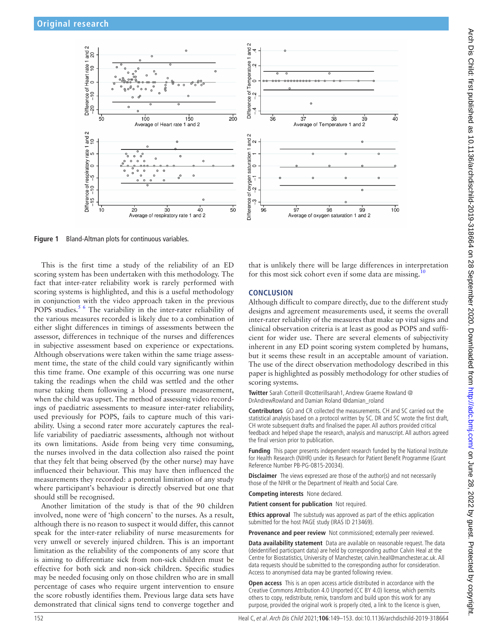

<span id="page-3-0"></span>**Figure 1** Bland-Altman plots for continuous variables.

This is the first time a study of the reliability of an ED scoring system has been undertaken with this methodology. The fact that inter-rater reliability work is rarely performed with scoring systems is highlighted, and this is a useful methodology in conjunction with the video approach taken in the previous POPS studies.<sup>5 6</sup> The variability in the inter-rater reliability of the various measures recorded is likely due to a combination of either slight differences in timings of assessments between the assessor, differences in technique of the nurses and differences in subjective assessment based on experience or expectations. Although observations were taken within the same triage assessment time, the state of the child could vary significantly within this time frame. One example of this occurring was one nurse taking the readings when the child was settled and the other nurse taking them following a blood pressure measurement, when the child was upset. The method of assessing video recordings of paediatric assessments to measure inter-rater reliability, used previously for POPS, fails to capture much of this variability. Using a second rater more accurately captures the reallife variability of paediatric assessments, although not without its own limitations. Aside from being very time consuming, the nurses involved in the data collection also raised the point that they felt that being observed (by the other nurse) may have influenced their behaviour. This may have then influenced the measurements they recorded: a potential limitation of any study where participant's behaviour is directly observed but one that should still be recognised.

Another limitation of the study is that of the 90 children involved, none were of 'high concern' to the nurses. As a result, although there is no reason to suspect it would differ, this cannot speak for the inter-rater reliability of nurse measurements for very unwell or severely injured children. This is an important limitation as the reliability of the components of any score that is aiming to differentiate sick from non-sick children must be effective for both sick and non-sick children. Specific studies may be needed focusing only on those children who are in small percentage of cases who require urgent intervention to ensure the score robustly identifies them. Previous large data sets have demonstrated that clinical signs tend to converge together and

that is unlikely there will be large differences in interpretation for this most sick cohort even if some data are missing.<sup>1</sup>

## **CONCLUSION**

Although difficult to compare directly, due to the different study designs and agreement measurements used, it seems the overall inter-rater reliability of the measures that make up vital signs and clinical observation criteria is at least as good as POPS and sufficient for wider use. There are several elements of subjectivity inherent in any ED point scoring system completed by humans, but it seems these result in an acceptable amount of variation. The use of the direct observation methodology described in this paper is highlighted as possibly methodology for other studies of scoring systems.

**Twitter** Sarah Cotterill [@cotterillsarah1](https://twitter.com/cotterillsarah1), Andrew Graeme Rowland [@](https://twitter.com/DrAndrewRowland) [DrAndrewRowland](https://twitter.com/DrAndrewRowland) and Damian Roland [@damian\\_roland](https://twitter.com/damian_roland)

**Contributors** GO and CR collected the measurements. CH and SC carried out the statistical analysis based on a protocol written by SC. DR and SC wrote the first draft, CH wrote subsequent drafts and finalised the paper. All authors provided critical feedback and helped shape the research, analysis and manuscript. All authors agreed the final version prior to publication.

**Funding** This paper presents independent research funded by the National Institute for Health Research (NIHR) under its Research for Patient Benefit Programme (Grant Reference Number PB-PG-0815-20034).

**Disclaimer** The views expressed are those of the author(s) and not necessarily those of the NIHR or the Department of Health and Social Care.

**Competing interests** None declared.

**Patient consent for publication** Not required.

**Ethics approval** The substudy was approved as part of the ethics application submitted for the host PAGE study (IRAS ID 213469).

**Provenance and peer review** Not commissioned; externally peer reviewed.

**Data availability statement** Data are available on reasonable request. The data (deidentified participant data) are held by corresponding author Calvin Heal at the Centre for Biostatistics, University of Manchester, calvin.heal@manchester.ac.uk. All data requests should be submitted to the corresponding author for consideration. Access to anonymised data may be granted following review.

**Open access** This is an open access article distributed in accordance with the Creative Commons Attribution 4.0 Unported (CC BY 4.0) license, which permits others to copy, redistribute, remix, transform and build upon this work for any purpose, provided the original work is properly cited, a link to the licence is given,